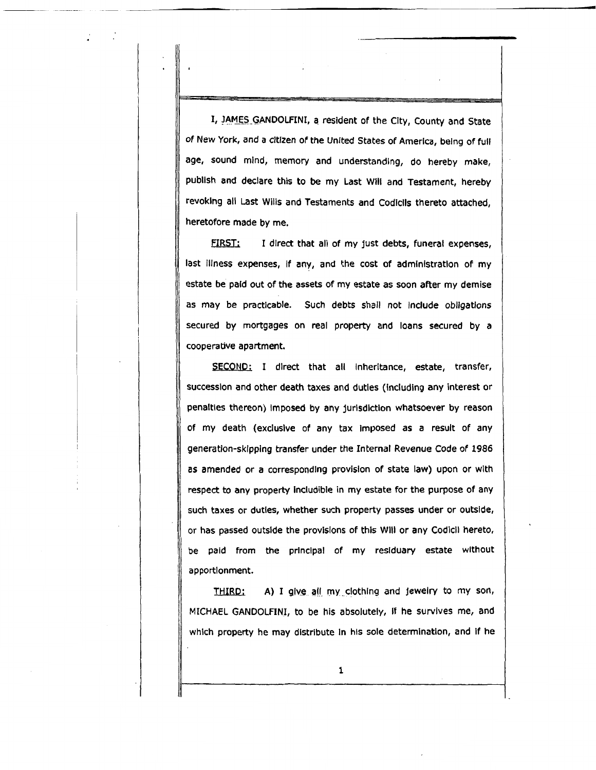I, JAMES GANDOLFINI, a resident of the City, County and State of New York, and a citizen of the United States of America, being of full age, sound mind, memory and understanding, do hereby make, publish and declare this to be my Last Will and Testament, hereby revoking all Last Wills and Testaments and Codicils thereto attached, heretofore made by me.

 $FIRST:$  I direct that all of my just debts, funeral expenses, last Illness expenses, If any, and the cost of administration of my estate be paid out of the assets of my estate as soon after my demise as may be practicable. Such debts shall not include obligations secured by mortgages on real property and loans secured by a cooperative apartment.

SECOND: I direct that all inheritance, estate, transfer, succession and other death taxes and duties (Including any interest or penalties thereon) Imposed by any jurisdiction whatsoever by reason of my death (exclusive of any tax Imposed as a result of any generation-skipping transfer under the Internal Revenue Code of 1986 as amended or a corresponding provision of state law) upon or with respect to any property Includible in my estate for the purpose of any such taxes or duties, whether such property passes under or outside, or has passed outside the provisions of this Will or any Codicil hereto, be paid from the principal of my residuary estate without apportionment.

THIRD: A) I give all my clothing and jewelry to my son, MICHAEL GANDOLFINI, to be his absolutely, If he survives me, and which property he may distribute In his sole determination, and If he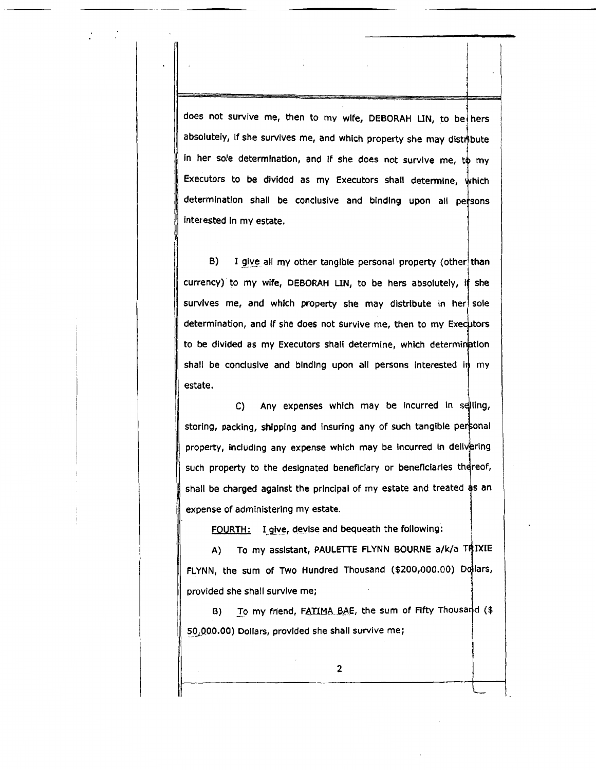does not survive me, then to my wife, DEBORAH LIN, to be hers absolutely, if she survives me, and which property she may distribute in her sole determination, and if she does not survive me,  $t\dot{\phi}$  my Executors to be divided as my Executors shall determine, which determination shall be conclusive and binding upon all persons interested In my estate.

 $B)$  I give all my other tangible personal property (other than currency) to my wife, DEBORAH LIN, to be hers absolutely, If she survives me, and which property she may distribute in her  $\vert$  sole determination, and if she does not survive me, then to my Executors to be divided as my Executors shall determine, which determination shall be conclusive and binding upon all persons interested in my estate.

 $C$ ) Any expenses which may be incurred in selling, storing, packing, shipping and insuring any of such tangible pe property, including any expense which may be incurred in delivering such property to the designated beneficiary or beneficiaries thereof, shall be charged against the principal of my estate and treated as an expense of administering my estate.

FOURTH: I give, devise and bequeath the following:

A) To my assistant, PAULETTE FLYNN BOURNE a/k/a TRIXIE FLYNN, the sum of Two Hundred Thousand (\$200,000.00) Dollars, provided she shall survive me;

B) To my friend, FATIMA BAE, the sum of Fifty Thousand (\$ 50,000.00) Dollars, provided she shall survive me;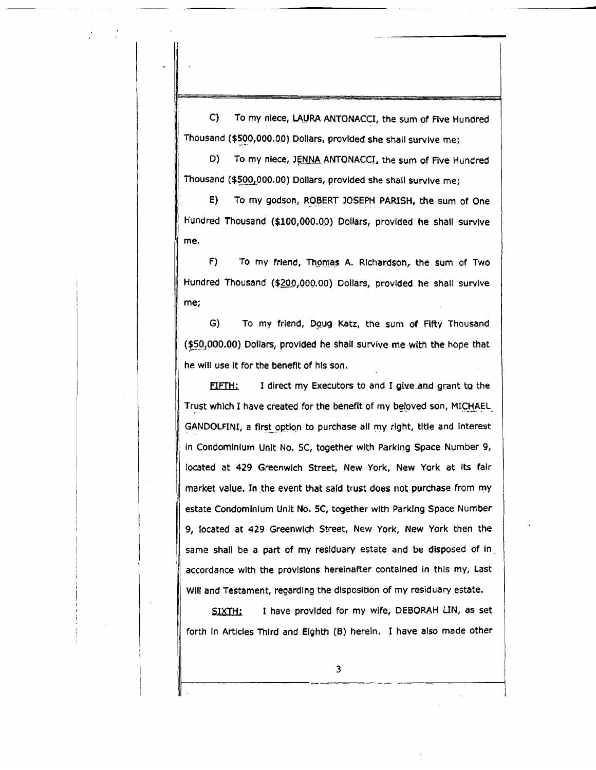C) To my niece, LAURA ANTONACCI, the sum of Five Hundred Thousand (\$500,000.00) Dollars, provided she shall survive me;

D) To my niece, JENNA ANTONACCI, the sum of Five Hundred Thousand (\$500,000.00) Dollars, provided she shall survive me;

E) To my godson, ROBERT JOSEPH PARISH, the sum of One Hundred Thousand (\$100,000.00) Dollars, provided he shall survive me.

F) To my friend, Thomas A. Richardson, the sum of Two Hundred Thousand (\$200,000.00) Dollars, provided he shall survive me;

G) To my friend, Doug Katz, the sum of Fifty Thousand  $( $50,000.00)$  Dollars, provided he shall survive me with the hope that he will use it for the benefit of his son.

FIFTH: I direct my Executors to and I give and grant to the Trust which I have created for the benefit of my beloved son, MICHAEL GANDOLFINI, a first option to purchase all my right, title and interest In Condominium Unit No. SC, together with Parking Space Number 9, located at *429* Greenwich Street, New York, New York at Its fair market value. In the event that said trust does not purchase from my estate Condominium Unit No. SC, together with Parking Space Number 9, located at *429* Greenwich Street, New York, New York then the same shall be a part of my residuary estate and be disposed of in. accordance with the provisions hereinafter contained In this my, Last Will and Testament, regarding the disposition of my residuary estate.

SIXTH: I have provided for my wife, DEBORAH LIN, as set forth in Articles Third and Eighth (B) herein, I have also made other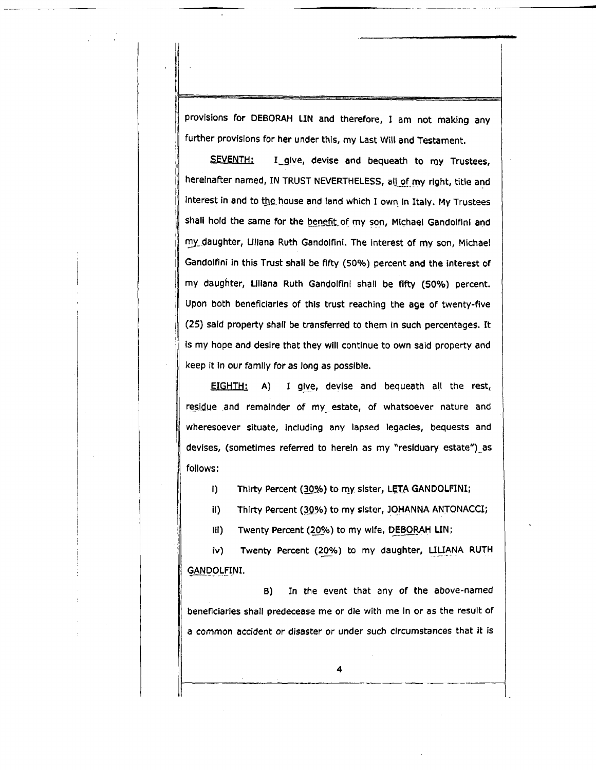provisions for DEBORAH UN and therefore, I am not making any further provisions for her under this, my Last Will and Testament.

SEVENTH: I\_give, devise and bequeath to my Trustees, hereinafter named, IN TRUST NEVERTHELESS, all of my right, title and Interest in and to the house and land which I own in Italy. My Trustees shall hold the same for the benefit of my son, Michael Gandolfini and my daughter, Liliana Ruth Gandolfini. The interest of my son, Michael Gandolfini in this Trust shall be fifty (SO%) percent and the interest of my daughter, Ullana Ruth Gandolfinl shall be fifty (50%) percent. Upon both beneficiaries of this trust reaching the age of twenty-five (25) said property shall be transferred to them In such percentages. It is my hope and desire that they will continue to own said property and keep it In our family for as long as possible.

EIGHTH: A) I give, devise and bequeath all the rest, residue and remainder of my estate, of whatsoever nature and wheresoever situate, Including any lapsed legacies, bequests and devises, (sometimes referred to herein as my "residuary estate") as follows:

i) Thirty Percent (30%) to my sister, LETA GANDOLFINI;

II) Thirty Percent (30%) to my sister, JOHANNA ANTONACCI;

iii) Twenty Percent (20%) to my wife, DEBORAH LIN;

iv) Twenty Percent (20%) to my daughter, LILIANA RUTH GANDOLFINI.

B) In the event that any of the above-named beneficiaries shall predecease me or die with me In or as the result of a common accident or disaster or under such circumstances that it is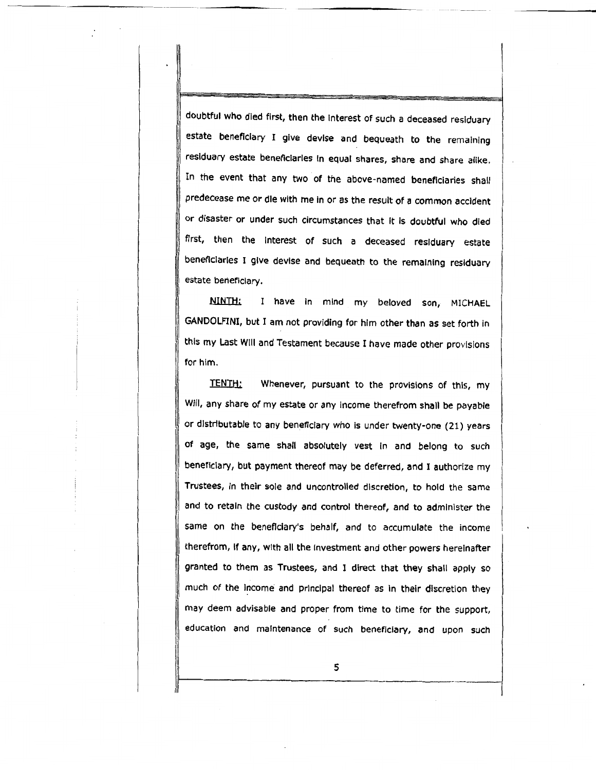doubtful who died first, then the Interest of such a deceased residuary estate beneficiary I give devise and bequeath to the remaining residuary estate beneficiaries in equal shares, share and share alike. In the event that any two of the above-named beneficiaries shall predecease me or die with me In or as the result of a common accident or disaster or under such circumstances that It Is doubtful who died first, then the interest of such a deceased residuary estate beneficiaries I give devise and bequeath to the remaining residuary estate beneficiary.

NINTH: I have in mind my beloved son, MICHAEL GANDOLFINI, but I am not providing for him other than as set forth in this my Last Will and Testament because I have made other provisions for him.

TENTH: Whenever, pursuant to the provisions of this, my Will, any share of my estate or any Income therefrom shall be payable or distributable to any beneficiary who is under twenty-one (21) years of age, the same shall absolutely vest In and belong to such beneficiary, but payment thereof may be deferred, and I authorize my Trustees, in their sole and uncontrolled discretion, to hold the same and to retain the custody and control thereof, and to administer the same on the beneficiary's behalf, and to accumulate the income therefrom, If any, with all the Investment and other powers hereinafter granted to them as Trustees, and 1 direct that they shall apply so much of the Income and principal thereof as in their discretion they may deem advisable and proper from time to time for the support, education and maintenance of such beneficiary, and upon such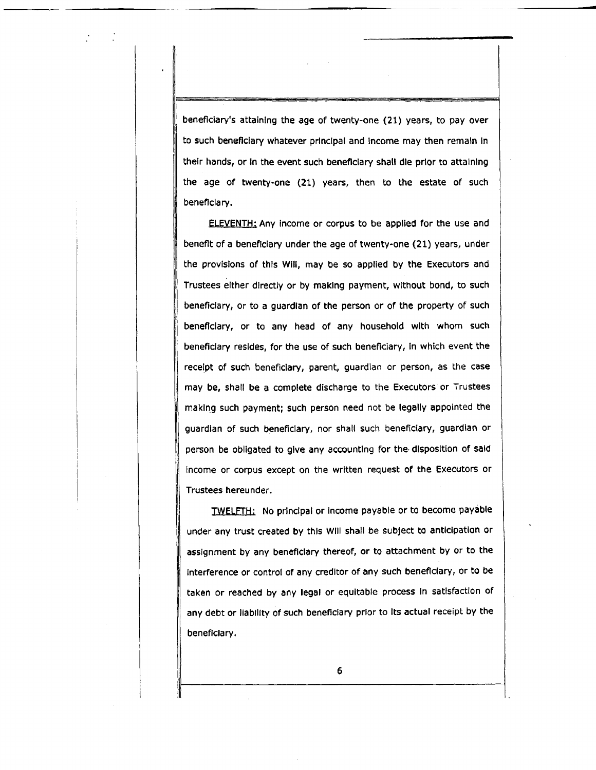beneficiary's attaining the age of twenty-one (21) years, to pay over to such beneficiary whatever principal and Income may then remain In their hands, or In the event such beneficiary shall die prior to attaining the age of twenty-one (21) years, then to the estate of such beneficiary.

ELEVENTH: Any income or corpus to be applied for the use and benefit of a beneficiary under the age of twenty-one (21) years, under the provisions of this Will, may be so applied by the Executors and Trustees either directly or by making payment, without bond, to such beneficiary, or to a guardian of the person or of the property of such beneficiary, or to any head of any household with whom such beneficiary resides, for the use of such beneficiary, In which event the receipt of such beneficiary, parent, guardian or person, as the case may be, shall be a complete discharge to the Executors or Trustees making such payment; such person need not be legally appointed the guardian of such beneficiary, nor shall such beneficiary, guardian or person be obligated to give any accounting for the· disposition of said income or corpus except on the written request of the Executors or Trustees hereunder.

TWELFTH: No principal or income payable or to become payable under any trust created by this Will shall be subject to anticipation or assignment by any beneficiary thereof, or to attachment by or to the Interference or control of any creditor of any such beneficiary, or to be taken or reached by any legal or equitable process In satisfaction of any debt or liability of such beneficiary prior to its actual receipt by the beneficiary.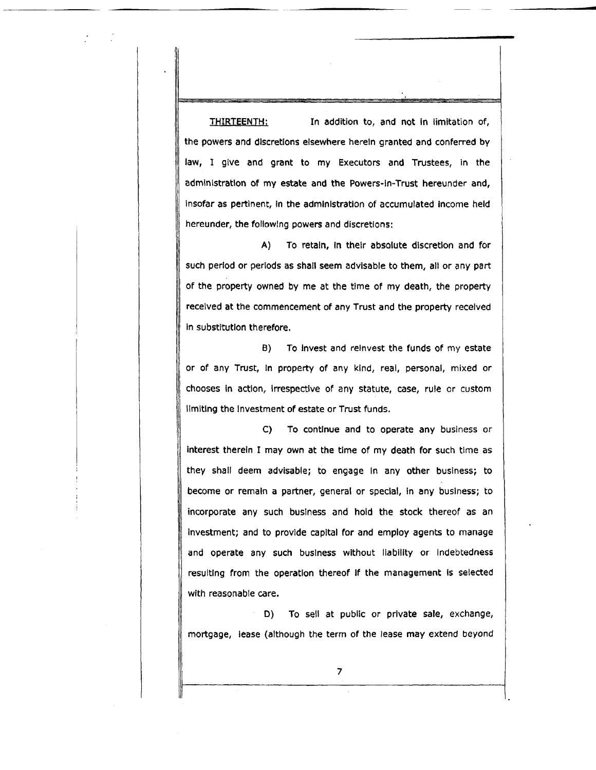THIRTEENTH: In addition to, and not in limitation of, the powers and discretions elsewhere herein granted and conferred by law, I give and grant to my Executors and Trustees, in the administration of my estate and the Powers-in-Trust hereunder and, Insofar as pertinent, In the administration of accumulated Income held hereunder, the following powers and discretions:

A) To retain, In their absolute discretion and for such period or periods as shall seem advisable to them, all or any part of the property owned by me at the time of my death, the property received at the commencement of any Trust and the property received in substitution therefore.

B) To Invest and reinvest the funds of my estate or of any Trust, In property of any kind, real, personal, mixed or chooses in action, irrespective of any statute, case, rule or custom limiting the investment of estate or Trust funds.

C) To continue and to operate any business or interest therein I may own at the time of my death for such time as they shall deem advisable; to engage In any other business; to become or remain a partner, general or special, In any business; to incorporate any such business and hold the stock thereof as an investment; and to provide capital for and employ agents to manage and operate any such business without liability or Indebtedness resulting from the operation thereof if the management is selected with reasonable care.

D) To sell at public or private sale, exchange, mortgage, lease (although the term of the lease may extend beyond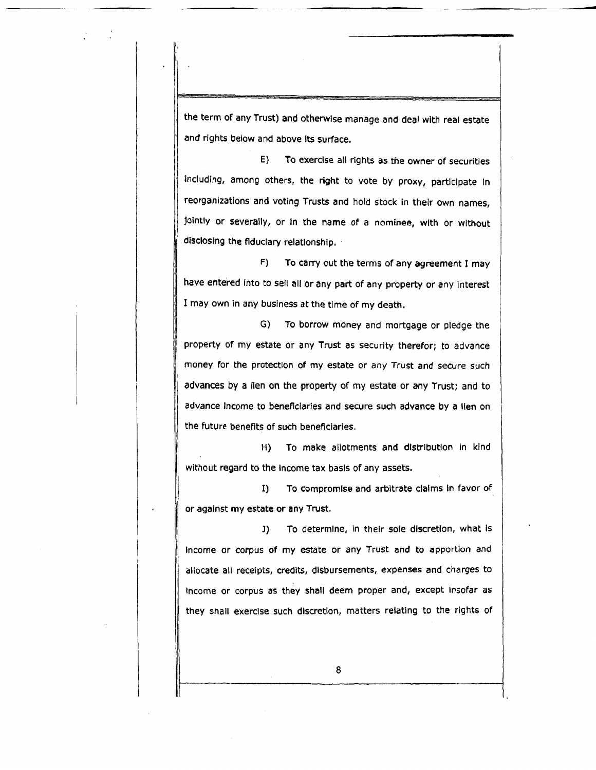the term of any Trust) and otherwise manage and deal with real estate and rights below and above its surface.

E) To exercise all rights as the owner of securities including, among others, the right to vote by proxy, participate in reorganizations and voting Trusts and hold stock in their own names, jointly or severally, or In the name of a nominee, with or without disclosing the fiduciary relationship. ·

F) To carry out the terms of any agreement I may have entered Into to sell all or any part of any property or any Interest I may own in any business at the time of my death.

G) To borrow money and mortgage or pledge the property of my estate or any Trust as security therefor; to advance money for the protection of my estate or any Trust and secure such advances by a lien on the property of my estate or any Trust; and to advance Income to beneficiaries and secure such advance by a lien on the future benefits of such beneficiaries.

H) To make allotments and distribution in kind without regard to the Income tax basis of any assets.

I) To compromise and arbitrate claims In favor of or against my estate or any Trust.

J) To determine, in their sole discretion, what is Income or corpus of my estate or any Trust and to apportion and allocate all receipts, credits, disbursements, expenses and charges to income or corpus as they shall deem proper and, except insofar as they shall exercise such discretion, matters relating to the rights of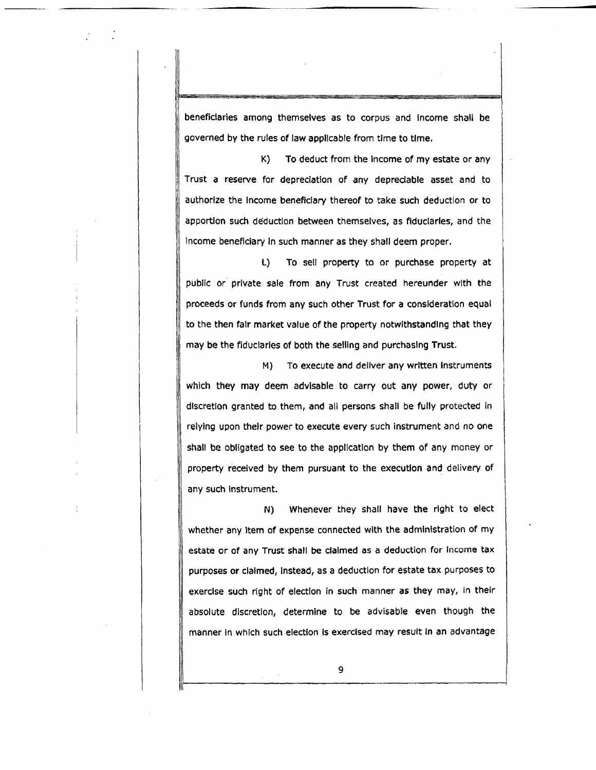beneficiaries among themselves as to corpus and Income shall be governed by the rules of law applicable from time to time.

K) To deduct from the income of my estate or any Trust a reserve for depreciation of any depreciable asset and to authorize the Income beneficiary thereof to take such deduction or to apportion such deduction between themselves, as fiduciaries, and the income beneficiary in such manner as they shall deem proper.

L) To sell property to or purchase property at public or private sale from any Trust created hereunder with the proceeds or funds from any such other Trust for a consideration equal to the then fair market value of the property notwithstanding that they may be the fiduciaries of both the selling and purchasing Trust.

M) To execute and deliver any written Instruments which they may deem advisable to carry out any power, duty or discretion granted to them, and all persons shall be fully protected in relying upon their power to execute every such instrument and no one shall be obligated to see to the application by them of any money or property received by them pursuant to the execution and delivery of any such instrument.

N) Whenever they shall have the right to elect whether any Item of expense connected with the administration of my estate or of any Trust shall be claimed as a deduction for Income tax purposes or claimed, Instead, as a deduction for estate tax purposes to exercise such right of election in such manner as they may, in their absolute discretion, determine to be advisable even though the manner in which such election Is exercised may result in an advantage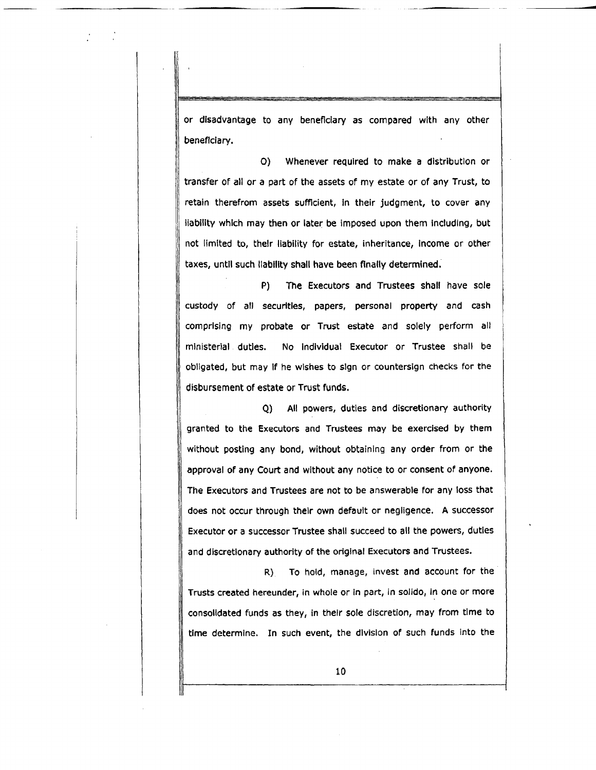or disadvantage to any beneficiary as compared with any other beneficiary.

0) Whenever required to make a distribution or transfer of all or a part of the assets of my estate or of any Trust, to retain therefrom assets sufficient, in their judgment, to cover any liability which may then or later be imposed upon them Including, but not limited to, their liability for estate, inheritance, income or other taxes, until such liability shall have been finally determined.

P) The Executors and Trustees shall have sole custody of all securities, papers, personal property and cash comprising my probate or Trust estate and solely perform all ministerial duties. No Individual Executor or Trustee shall be obligated, but may If he wishes to sign or countersign checks for the disbursement of estate or Trust funds.

Q} All powers, duties and discretionary authority granted to the Executors and Trustees may be exercised by them without posting any bond, without obtaining any order from or the approval of any Court and without any notice to or consent of anyone. The Executors and Trustees are not to be answerable for any loss that does not occur through their own default or negligence. A successor Executor or a successor Trustee shall succeed to all the powers, duties and discretionary authority of the original Executors and Trustees.

R) To hold, manage, invest and account for the Trusts created hereunder, in whole or in part, in solido, in one or more consolidated funds as they, in their sole discretion, may from time to time determine. In such event, the division of such funds into the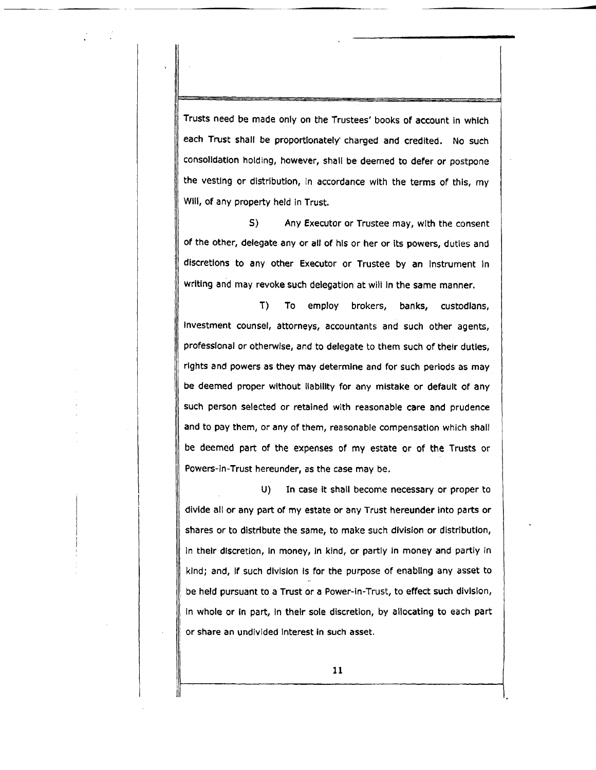Trusts need be made only on the Trustees' books of account in which each Trust shall be proportionately charged and credited. No such consolidation holding, however, shall be deemed to defer or postpone the vesting or distribution, in accordance with the terms of this, my Will, of any property held in Trust.

5) Any Executor or Trustee may, with the consent of the other, delegate any or all of his or her or its powers, duties and discretions to any other Executor or Trustee by an instrument in writing and may revoke such delegation at will in the same manner.

T) To employ brokers, banks, custodians, Investment counsel, attorneys, accountants and such other agents, professional or otherwise, and to delegate to them such of their duties, rights and powers as they may determine and for such periods as may be deemed proper without liability for any mistake or default of any such person selected or retained with reasonable care and prudence and to pay them, or any of them, reasonable compensation which shall be deemed part of the expenses of my estate or of the Trusts or Powers-in-Trust hereunder, as the case may be.

U) In case it shall become necessary or proper to divide all or any part of my estate or any Trust hereunder into parts or shares or to distribute the same, to make such division or distribution, in their discretion, in money, in kind, or partly in money and partly in kind; and, if such division is for the purpose of enabling any asset to be held pursuant to a Trust or a Power-in-Trust, to effect such division, In whole or In part, In their sole discretion, by allocating to each part or share an undivided interest In such asset.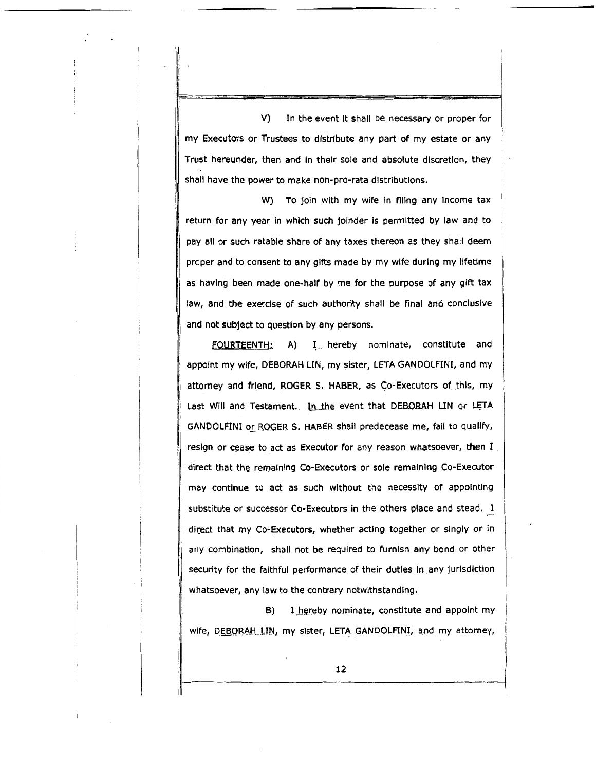V) In the event It shall be necessary or proper for my Executors or Trustees to distribute any part of my estate or any Trust hereunder, then and In their sole and absolute discretion, they shall have the power to make non-pro-rata distributions.

W) To join with my wife in filing any income tax return for any year in which such joinder is permitted by law and to pay all or such ratable share of any taxes thereon as they shall deem proper and to consent to any gifts made by my wife during my lifetime as having been made one-half by me for the purpose of any gift tax law, and the exercise of such authority shall be final and conclusive and not subject to question by any persons.

FOURTEENTH: A) I hereby nominate, constitute and appoint my wife, DEBORAH LIN, my sister, LETA GANDOLFINI, and my attorney and friend, ROGER S. HABER, as Go-Executors of this, my Last Will and Testament. In the event that DEBORAH LIN or LETA GANDOLFINI or ROGER S. HABER shall predecease me, fail to qualify, resign or cease to act as Executor for any reason whatsoever, then I. direct that the remaining Co-Executors or sole remaining Co-Executor may continue to act as such without the necessity or appointing substitute or successor Co-Executors in the others place and stead. I direct that my Co-Executors, whether acting together or singly or in any combination, shall not be required to furnish any bond or other security for the faithful performance of their duties In any jurisdiction whatsoever, any law to the contrary notwithstanding.

B) I hereby nominate, constitute and appoint my wife, DEBORAH LIN, my sister, LETA GANDOLFINI, and my attorney,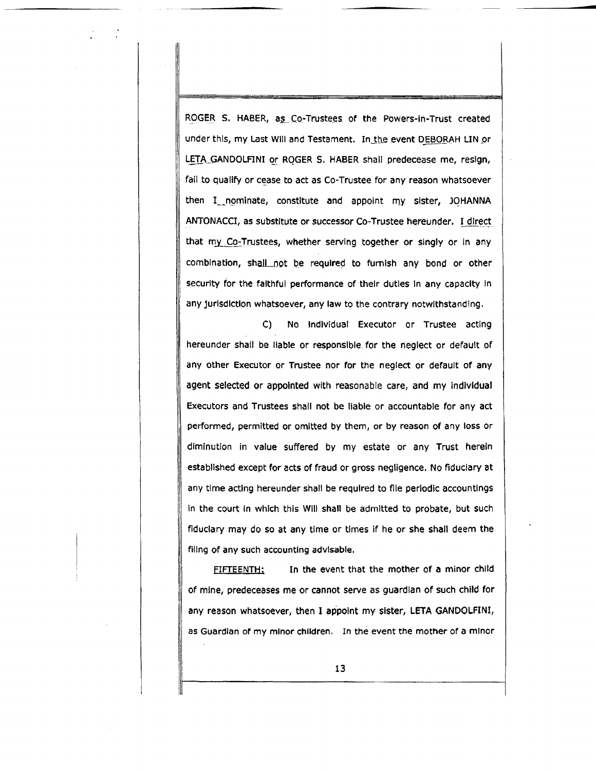ROGER S. HABER, as Co-Trustees of the Powers-in-Trust created under this, my Last Will and Testament. In the event DEBORAH LIN or LETA GANDOLFINI or ROGER S. HABER shall predecease me, resign, fail to qualify or cease to act as Co-Trustee for any reason whatsoever then I nominate, constitute and appoint my sister, JOHANNA ANTONACCI, as substitute or successor Co-Trustee hereunder. I direct that my Co-Trustees, whether serving together or singly or in any combination, shall not be required to furnish any bond or other security for the faithful performance of their duties in any capacity in any jurisdiction whatsoever, any law to the contrary notwithstanding.

C) No Individual Executor or Trustee acting hereunder shall be liable or responsible for the neglect or default of any other Executor or Trustee nor for the neglect or default of any agent selected or appointed with reasonable care, and my individual Executors and Trustees shall not be liable or accountable for any act performed, permitted or omitted by them, or by reason of any loss or diminution in value suffered by my estate or any Trust herein established except for acts of fraud or gross negligence. No fiduciary at any time acting hereunder shall be required to file periodic accountings in the court in which this Will shall be admitted to probate, but such fiduciary may do so at any time or times if he or she shall deem the filing of any such accounting advisable.

FIFTEENTH; In the event that the mother of a minor child of mine, predeceases me or cannot serve as guardian of such child for any reason whatsoever, then I appoint my sister, **LETA** GANDOLFINI, as Guardian of my minor children. In the event the mother of a minor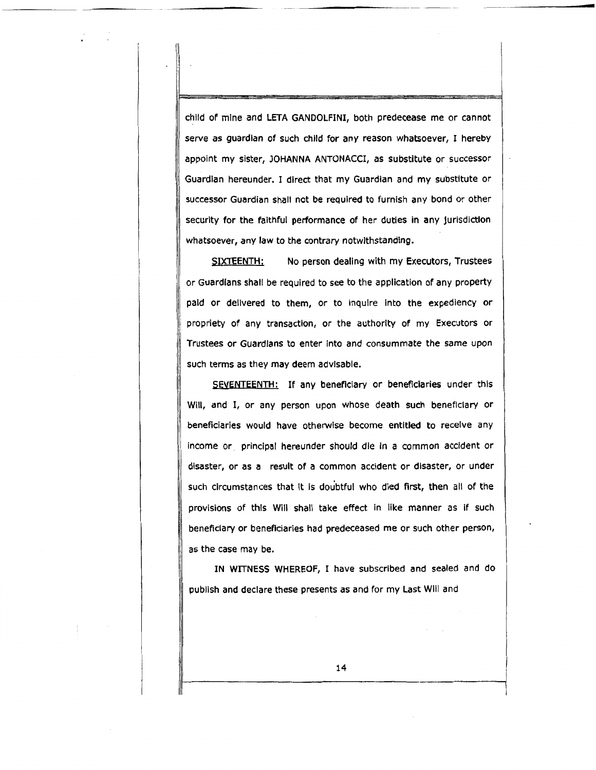child of mine and LETA GANDOLFINI, both predecease me or cannot serve as guardian of such child for any reason whatsoever, I hereby appoint my sister, JOHANNA ANTONACCI, as substitute or successor Guardian hereunder. I direct that my Guardian and my substitute or successor Guardian shall not be required to furnish any bond or other security for the faithful performance of her duties in any jurisdiction whatsoever, any law to the contrary notwithstanding.

SIXTEENTH: No person dealing with my Executors, Trustees or Guardians shall be required to see to the application of any property paid or delivered to them, or to Inquire Into the expediency or propriety of any transaction, or the authority of my Executors or Trustees or Guardians to enter into and consummate the same upon such terms as they may deem advisable.

SEVENTEENTH: If any beneficiary or beneficiaries under this Will, and I, or any person upon whose death such beneficiary or beneficiaries would have otherwise become entitled to receive any income or principal hereunder should die in a common accident or disaster, or as a result of a common accident or disaster, or under such circumstances that It Is doubtful who died first, then all of the provisions of this Will shall take effect in like manner as if such beneficiary or beneficiaries had predeceased me or such other person, as the case may be.

IN WITNESS WHEREOF, I have subscribed and sealed and do publish and declare these presents as and for my Last Will and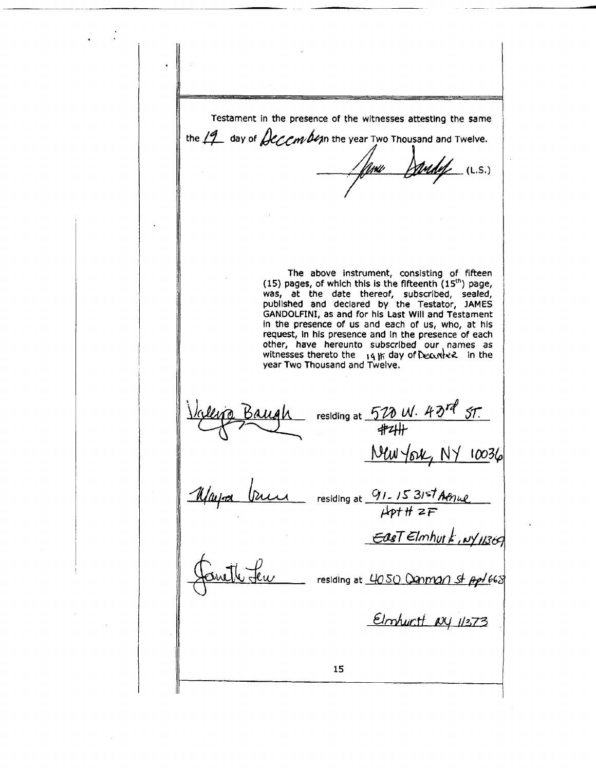.  $\|$ Testament in the presence of the witnesses attesting the same the  $11$  day of  $\theta$ ccm be the year Two Thousand and Twelve. Jene Dandy (L.S.) The above instrument, consisting of fifteen (15) pages, of which this is the fifteenth  $(15<sup>th</sup>)$  page, was, at the date thereof, subscribed, sealed, published and declared by the Testator, JAMES GANDOLFINI, as and for his Last Will and Testament in the presence of us and each of us, who, at his request, In his presence and In the presence of each other, have hereunto subscribed our names as witnesses thereto the  $_{-1}$ 4  $\rm _{H}$  day of Decorde 2 in the year Two Thousand and Twelve.  $\mathbf{1}$   $\mathbf{1}$   $\mathbf{2}$ \lr~tt«Ak residing at *5U* LA./. *Jt?Jr.f 5r. =if./rukr-A* b <sup>I</sup>  $\mathbf{v}$  and  $\mathbf{v}$  and  $\mathbf{v}$  and  $\mathbf{v}$  and  $\mathbf{v}$  and  $\mathbf{v}$  and  $\mathbf{v}$  and  $\mathbf{v}$  and  $\mathbf{v}$  and  $\mathbf{v}$  and  $\mathbf{v}$  and  $\mathbf{v}$  and  $\mathbf{v}$  and  $\mathbf{v}$  and  $\mathbf{v}$  and  $\mathbf{v}$  and  $\mathbf{v}$  and  $N$ u You,  $N$  10036 residing at 91-15 31st Amue htff *2-F*   $\epsilon$ as $T$  $\epsilon$ lmhut  $k$ ,  $\mu$  $y$  $\mu$ 369 residing at <u>4050 Qanman st</u> *pp16*63 €/mlwr:tf M/ //:{73 15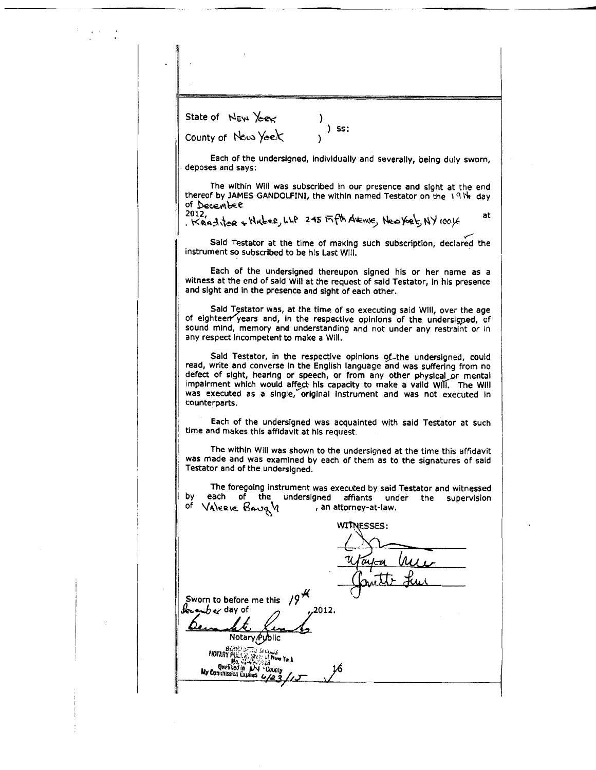State of  $N_{EW}$  / $_{Cex}$  $\lambda$ ) ss: County of New York

 $\mathcal{F}^{\mathcal{A}}_{\mathcal{A}}$  .

Each of the undersigned, individually and severally, being duly sworn, deposes and says:

The within Will was subscribed In our presence and sight at the end thereof by JAMES GANDOLFINI, the within named Testator on the \ 191% day of December at

 $^{2012}$ , Kaad toe + Haber, LLP 245  $\bar{\tau}$ ft Avenue, New Yeet, NY 100/6

Said Testator at the time of making such subscription, declared the instrument so subscribed to be his Last Will.

Each of the undersigned thereupon signed his or her name as a witness at the end of said Will at the request of said Testator, In his presence and sight and in the presence and sight of each other.

Said Testator was, at the time of so executing said Will, over the age of eighteen years and, in the respective opinions of the undersigped, of sound mind, memory and understanding and not under any restraint or in any respect Incompetent to make a Will.

Said Testator, in the respective opinions of the undersigned, could read, write and converse in the English language and was suffering from no defect of sight, hearing or speech, or from any other physical or mental impairment which would affect his capacity to make a valid Will. The Will was executed as a single, original instrument and was not executed in counterparts.

Each of the undersigned was acquainted with said Testator at such time and makes this affidavit at his request.

The within Will was shown to the undersigned at the time this affidavit was made and was examined by each of them as to the signatures of said Testator and of the undersigned.

The foregoing instrument was executed by said Testator and witnessed by each of the undersigned affiants under the supervision<br><sup>of</sup> V4\εκις. βαυα. γ an attorney-at-law.

| WITNESSES:                                                 |
|------------------------------------------------------------|
|                                                            |
|                                                            |
|                                                            |
| $19^{4}$<br>Sworn to before me this                        |
| becamber day of<br>, 2012.                                 |
| Notary Public                                              |
| <b>BERROWTTE SHOWS</b><br>MOTARY PUES OF SHER OF NOW YOU A |
| $M_2 - 1 - 5 - 518$<br>Quelified in JAY . County<br>16     |
| My Commission Expires 6/2 ?                                |